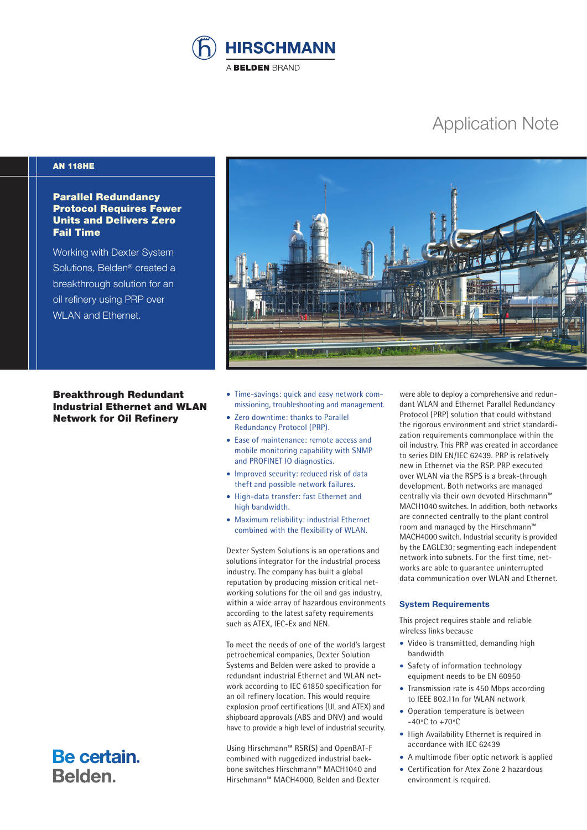

# Application Note

# AN 118HE

# Parallel Redundancy Protocol Requires Fewer Units and Delivers Zero Fail Time

Working with Dexter System Solutions, Belden® created a breakthrough solution for an oil refinery using PRP over WLAN and Ethernet.

Breakthrough Redundant Industrial Ethernet and WLAN Network for Oil Refinery

Be certain.

Belden.



- Time-savings: quick and easy network commissioning, troubleshooting and management.
- Zero downtime: thanks to Parallel Redundancy Protocol (PRP).
- Ease of maintenance: remote access and mobile monitoring capability with SNMP and PROFINET IO diagnostics.
- Improved security: reduced risk of data theft and possible network failures.
- High-data transfer: fast Ethernet and high bandwidth.
- Maximum reliability: industrial Ethernet combined with the flexibility of WLAN.

Dexter System Solutions is an operations and solutions integrator for the industrial process industry. The company has built a global reputation by producing mission critical networking solutions for the oil and gas industry, within a wide array of hazardous environments according to the latest safety requirements such as ATEX, IEC-Ex and NEN.

To meet the needs of one of the world's largest petrochemical companies, Dexter Solution Systems and Belden were asked to provide a redundant industrial Ethernet and WLAN network according to IEC 61850 specification for an oil refinery location. This would require explosion proof certifications (UL and ATEX) and shipboard approvals (ABS and DNV) and would have to provide a high level of industrial security.

Using Hirschmann™ RSR(S) and OpenBAT-F combined with ruggedized industrial backbone switches Hirschmann™ MACH1040 and Hirschmann™ MACH4000, Belden and Dexter were able to deploy a comprehensive and redundant WLAN and Ethernet Parallel Redundancy Protocol (PRP) solution that could withstand the rigorous environment and strict standardization requirements commonplace within the oil industry. This PRP was created in accordance to series DIN EN/IEC 62439. PRP is relatively new in Ethernet via the RSP. PRP executed over WLAN via the RSPS is a break-through development. Both networks are managed centrally via their own devoted Hirschmann™ MACH1040 switches. In addition, both networks are connected centrally to the plant control room and managed by the Hirschmann™ MACH4000 switch. Industrial security is provided by the EAGLE30; segmenting each independent network into subnets. For the first time, networks are able to guarantee uninterrupted data communication over WLAN and Ethernet.

## **System Requirements**

This project requires stable and reliable wireless links because

- Video is transmitted, demanding high bandwidth
- Safety of information technology equipment needs to be EN 60950
- Transmission rate is 450 Mbps according to IEEE 802.11n for WLAN network
- Operation temperature is between -40ºC to +70ºC
- High Availability Ethernet is required in accordance with IEC 62439
- A multimode fiber optic network is applied
- Certification for Atex Zone 2 hazardous environment is required.